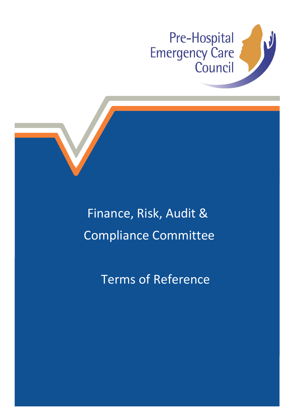



Terms of Reference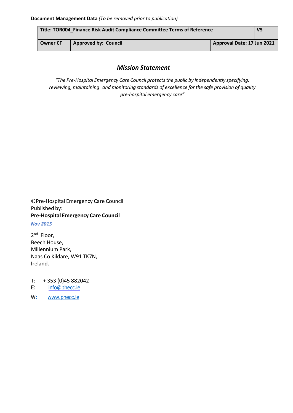| Title: TOR004 Finance Risk Audit Compliance Committee Terms of Reference |                             |                            | V <sub>5</sub> |
|--------------------------------------------------------------------------|-----------------------------|----------------------------|----------------|
| <b>Owner CF</b>                                                          | <b>Approved by: Council</b> | Approval Date: 17 Jun 2021 |                |

# *Mission Statement*

*"The Pre-Hospital Emergency Care Council protectsthe public by independently specifying, reviewing, maintaining and monitoring standards of excellence for the safe provision of quality pre-hospital emergency care"*

©Pre-Hospital Emergency Care Council Published by: **Pre-Hospital Emergency Care Council**

*Nov 2015*

2<sup>nd</sup> Floor, Beech House, Millennium Park, Naas Co Kildare, W91 TK7N, Ireland.

T: + 353 (0)45 882042

- E: [info@phecc.ie](mailto:info@phecc.ie)
- W: [www.phecc.ie](http://www.phecc.ie/)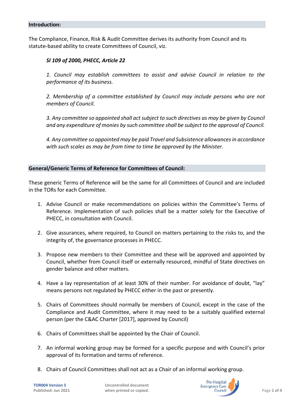The Compliance, Finance, Risk & Audit Committee derives its authority from Council and its statute-based ability to create Committees of Council, viz.

## *SI 109 of 2000, PHECC, Article 22*

*1. Council may establish committees to assist and advise Council in relation to the performance of its business.*

*2. Membership of a committee established by Council may include persons who are not members of Council.*

*3. Any committee so appointed shall act subject to such directives as may be given by Council and any expenditure of monies by such committee shall be subject to the approval of Council.*

*4. Any committee so appointed may be paid Travel and Subsistence allowances in accordance with such scales as may be from time to time be approved by the Minister.*

#### **General/Generic Terms of Reference for Committees of Council:**

These generic Terms of Reference will be the same for all Committees of Council and are included in the TORs for each Committee.

- 1. Advise Council or make recommendations on policies within the Committee's Terms of Reference. Implementation of such policies shall be a matter solely for the Executive of PHECC, in consultation with Council.
- 2. Give assurances, where required, to Council on matters pertaining to the risks to, and the integrity of, the governance processes in PHECC.
- 3. Propose new members to their Committee and these will be approved and appointed by Council, whether from Council itself or externally resourced, mindful of State directives on gender balance and other matters.
- 4. Have a lay representation of at least 30% of their number. For avoidance of doubt, "lay" means persons not regulated by PHECC either in the past or presently.
- 5. Chairs of Committees should normally be members of Council, except in the case of the Compliance and Audit Committee, where it may need to be a suitably qualified external person (per the C&AC Charter [2017], approved by Council)
- 6. Chairs of Committees shall be appointed by the Chair of Council.
- 7. An informal working group may be formed for a specific purpose and with Council's prior approval of its formation and terms of reference.
- 8. Chairs of Council Committees shall not act as a Chair of an informal working group.

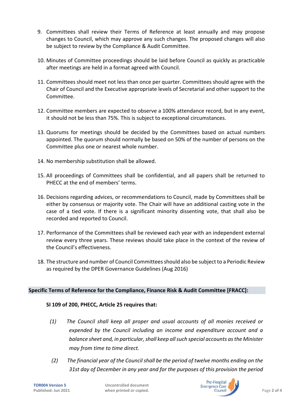- 9. Committees shall review their Terms of Reference at least annually and may propose changes to Council, which may approve any such changes. The proposed changes will also be subject to review by the Compliance & Audit Committee.
- 10. Minutes of Committee proceedings should be laid before Council as quickly as practicable after meetings are held in a format agreed with Council.
- 11. Committees should meet not less than once per quarter. Committees should agree with the Chair of Council and the Executive appropriate levels of Secretarial and other support to the Committee.
- 12. Committee members are expected to observe a 100% attendance record, but in any event, it should not be less than 75%. This is subject to exceptional circumstances.
- 13. Quorums for meetings should be decided by the Committees based on actual numbers appointed. The quorum should normally be based on 50% of the number of persons on the Committee plus one or nearest whole number.
- 14. No membership substitution shall be allowed.
- 15. All proceedings of Committees shall be confidential, and all papers shall be returned to PHECC at the end of members' terms.
- 16. Decisions regarding advices, or recommendations to Council, made by Committees shall be either by consensus or majority vote. The Chair will have an additional casting vote in the case of a tied vote. If there is a significant minority dissenting vote, that shall also be recorded and reported to Council.
- 17. Performance of the Committees shall be reviewed each year with an independent external review every three years. These reviews should take place in the context of the review of the Council's effectiveness.
- 18. The structure and number of Council Committees should also be subject to a Periodic Review as required by the DPER Governance Guidelines (Aug 2016)

## **Specific Terms of Reference for the Compliance, Finance Risk & Audit Committee [FRACC]:**

## **SI 109 of 200, PHECC, Article 25 requires that:**

- *(1) The Council shall keep all proper and usual accounts of all monies received or expended by the Council including an income and expenditure account and a balance sheet and, in particular, shall keep all such special accounts as the Minister may from time to time direct.*
- *(2) The financial year of the Council shall be the period of twelve months ending on the 31st day of December in any year and for the purposes of this provision the period*

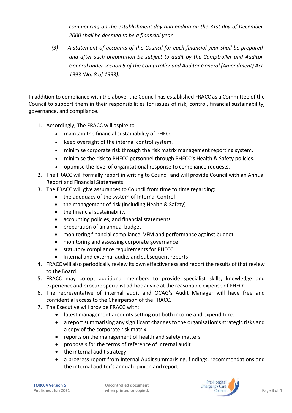*commencing on the establishment day and ending on the 31st day of December 2000 shall be deemed to be a financial year.*

*(3) A statement of accounts of the Council for each financial year shall be prepared and after such preparation be subject to audit by the Comptroller and Auditor General under [section](http://www.irishstatutebook.ie/1993/en/act/pub/0008/sec0005.html#sec5) 5 of the Comptroller and Auditor General [\(Amendment\)](http://www.irishstatutebook.ie/1993/en/act/pub/0008/index.html) Act [1993](http://www.irishstatutebook.ie/1993/en/act/pub/0008/index.html) (No. 8 of 1993).*

In addition to compliance with the above, the Council has established FRACC as a Committee of the Council to support them in their responsibilities for issues of risk, control, financial sustainability, governance, and compliance.

- 1. Accordingly, The FRACC will aspire to
	- maintain the financial sustainability of PHECC.
	- keep oversight of the internal control system.
	- minimise corporate risk through the risk matrix management reporting system.
	- minimise the risk to PHECC personnel through PHECC's Health & Safety policies.
	- optimise the level of organisational response to compliance requests.
- 2. The FRACC will formally report in writing to Council and will provide Council with an Annual Report and Financial Statements.
- 3. The FRACC will give assurances to Council from time to time regarding:
	- the adequacy of the system of Internal Control
	- the management of risk (including Health & Safety)
	- the financial sustainability
	- accounting policies, and financial statements
	- preparation of an annual budget
	- monitoring financial compliance, VFM and performance against budget
	- monitoring and assessing corporate governance
	- statutory compliance requirements for PHECC
	- Internal and external audits and subsequent reports
- 4. FRACC will also periodically review its own effectiveness and report the results of that review to the Board.
- 5. FRACC may co-opt additional members to provide specialist skills, knowledge and experienceand procure specialist ad-hoc advice at the reasonable expense of PHECC.
- 6. The representative of internal audit and OCAG's Audit Manager will have free and confidential access to the Chairperson of the FRACC.
- 7. The Executive will provide FRACC with;
	- latest management accounts setting out both income and expenditure.
	- a report summarising any significant changes to the organisation's strategic risks and a copy of the corporate risk matrix.
	- reports on the management of health and safety matters
	- proposals for the terms of reference of internal audit
	- $\bullet$  the internal audit strategy.
	- a progress report from Internal Audit summarising, findings, recommendations and the internal auditor's annual opinion and report.

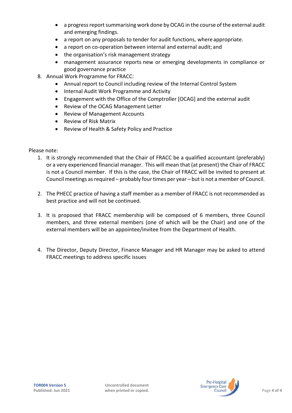- a progress report summarising work done by OCAG in the course of the external audit and emerging findings.
- a report on any proposals to tender for audit functions, where appropriate.
- a report on co-operation between internal and external audit; and
- the organisation's risk management strategy
- management assurance reports new or emerging developments in compliance or good governance practice
- 8. Annual Work Programme for FRACC:
	- Annual report to Council including review of the Internal Control System
	- Internal Audit Work Programme and Activity
	- Engagement with the Office of the Comptroller [OCAG] and the external audit
	- Review of the OCAG Management Letter
	- Review of Management Accounts
	- Review of Risk Matrix
	- Review of Health & Safety Policy and Practice

Please note:

- 1. It is strongly recommended that the Chair of FRACC be a qualified accountant (preferably) or a very experienced financial manager. This will mean that (at present) the Chair of FRACC is not a Council member. If this is the case, the Chair of FRACC will be invited to present at Council meetings as required – probably four times per year – but is not a member of Council.
- 2. The PHECC practice of having a staff member as a member of FRACC is not recommended as best practice and will not be continued.
- 3. It is proposed that FRACC membership will be composed of 6 members, three Council members, and three external members (one of which will be the Chair) and one of the external members will be an appointee/invitee from the Department of Health.
- 4. The Director, Deputy Director, Finance Manager and HR Manager may be asked to attend FRACC meetings to address specific issues